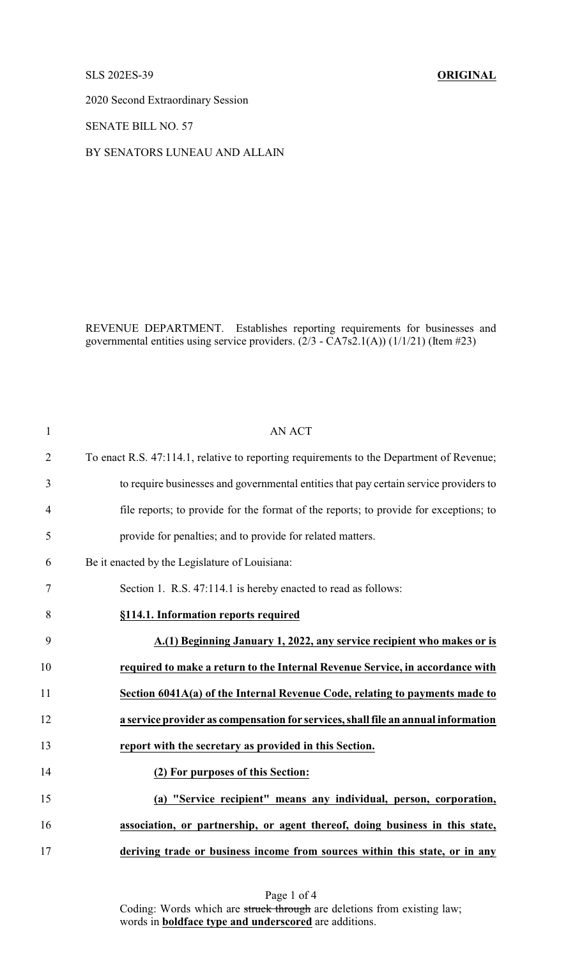## SLS 202ES-39 **ORIGINAL**

2020 Second Extraordinary Session

SENATE BILL NO. 57

BY SENATORS LUNEAU AND ALLAIN

REVENUE DEPARTMENT. Establishes reporting requirements for businesses and governmental entities using service providers.  $(2/3 - \overline{C}A7s2.1(A))(1/1/21)$  (Item #23)

| $\mathbf{1}$   | <b>AN ACT</b>                                                                            |
|----------------|------------------------------------------------------------------------------------------|
| $\overline{2}$ | To enact R.S. 47:114.1, relative to reporting requirements to the Department of Revenue; |
| 3              | to require businesses and governmental entities that pay certain service providers to    |
| $\overline{4}$ | file reports; to provide for the format of the reports; to provide for exceptions; to    |
| 5              | provide for penalties; and to provide for related matters.                               |
| 6              | Be it enacted by the Legislature of Louisiana:                                           |
| $\tau$         | Section 1. R.S. 47:114.1 is hereby enacted to read as follows:                           |
| 8              | §114.1. Information reports required                                                     |
| 9              | A.(1) Beginning January 1, 2022, any service recipient who makes or is                   |
| 10             | required to make a return to the Internal Revenue Service, in accordance with            |
| 11             | Section 6041A(a) of the Internal Revenue Code, relating to payments made to              |
| 12             | a service provider as compensation for services, shall file an annual information        |
| 13             | report with the secretary as provided in this Section.                                   |
| 14             | (2) For purposes of this Section:                                                        |
| 15             | (a) "Service recipient" means any individual, person, corporation,                       |
| 16             | association, or partnership, or agent thereof, doing business in this state,             |
| 17             | deriving trade or business income from sources within this state, or in any              |

Page 1 of 4 Coding: Words which are struck through are deletions from existing law; words in **boldface type and underscored** are additions.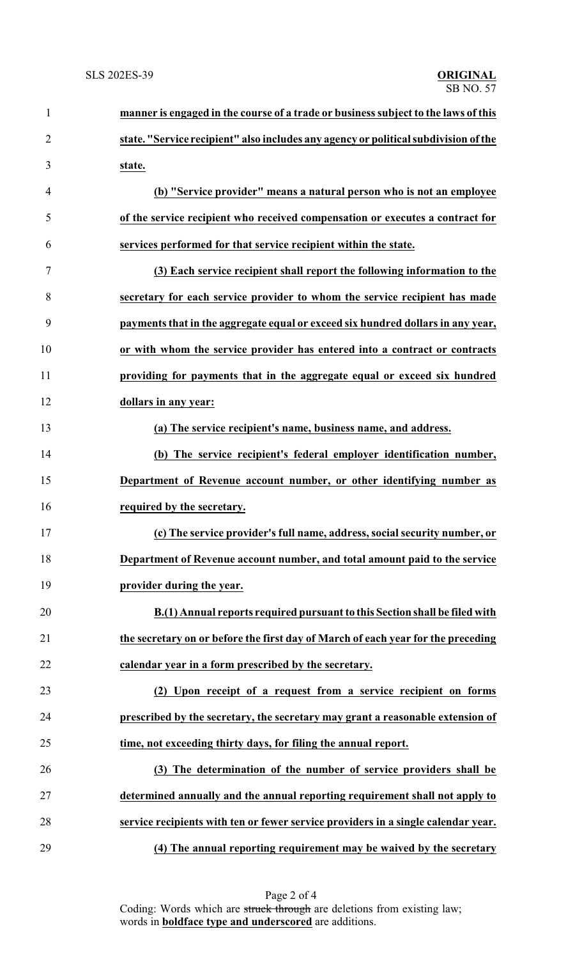| $\mathbf{1}$   | manner is engaged in the course of a trade or business subject to the laws of this  |
|----------------|-------------------------------------------------------------------------------------|
| $\overline{2}$ | state. "Service recipient" also includes any agency or political subdivision of the |
| 3              | state.                                                                              |
| 4              | (b) "Service provider" means a natural person who is not an employee                |
| 5              | of the service recipient who received compensation or executes a contract for       |
| 6              | services performed for that service recipient within the state.                     |
| 7              | (3) Each service recipient shall report the following information to the            |
| 8              | secretary for each service provider to whom the service recipient has made          |
| 9              | payments that in the aggregate equal or exceed six hundred dollars in any year,     |
| 10             | or with whom the service provider has entered into a contract or contracts          |
| 11             | providing for payments that in the aggregate equal or exceed six hundred            |
| 12             | dollars in any year:                                                                |
| 13             | (a) The service recipient's name, business name, and address.                       |
| 14             | (b) The service recipient's federal employer identification number,                 |
| 15             | Department of Revenue account number, or other identifying number as                |
| 16             | required by the secretary.                                                          |
| 17             | (c) The service provider's full name, address, social security number, or           |
| 18             | Department of Revenue account number, and total amount paid to the service          |
| 19             | provider during the year.                                                           |
| 20             | B.(1) Annual reports required pursuant to this Section shall be filed with          |
| 21             | the secretary on or before the first day of March of each year for the preceding    |
| 22             | calendar year in a form prescribed by the secretary.                                |
| 23             | (2) Upon receipt of a request from a service recipient on forms                     |
| 24             | prescribed by the secretary, the secretary may grant a reasonable extension of      |
| 25             | time, not exceeding thirty days, for filing the annual report.                      |
| 26             | (3) The determination of the number of service providers shall be                   |
| 27             | determined annually and the annual reporting requirement shall not apply to         |
| 28             | service recipients with ten or fewer service providers in a single calendar year.   |
| 29             | (4) The annual reporting requirement may be waived by the secretary                 |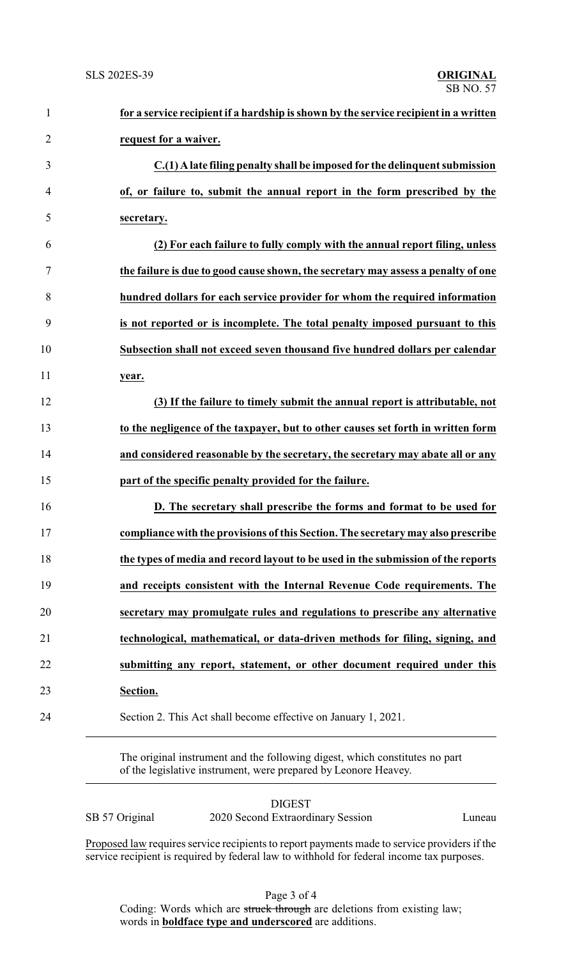| $\mathbf{1}$   | for a service recipient if a hardship is shown by the service recipient in a written |
|----------------|--------------------------------------------------------------------------------------|
| $\overline{2}$ | request for a waiver.                                                                |
| 3              | C.(1) A late filing penalty shall be imposed for the delinquent submission           |
| $\overline{4}$ | of, or failure to, submit the annual report in the form prescribed by the            |
| 5              | secretary.                                                                           |
| 6              | (2) For each failure to fully comply with the annual report filing, unless           |
| 7              | the failure is due to good cause shown, the secretary may assess a penalty of one    |
| 8              | hundred dollars for each service provider for whom the required information          |
| 9              | is not reported or is incomplete. The total penalty imposed pursuant to this         |
| 10             | Subsection shall not exceed seven thousand five hundred dollars per calendar         |
| 11             | year.                                                                                |
| 12             | (3) If the failure to timely submit the annual report is attributable, not           |
| 13             | to the negligence of the taxpayer, but to other causes set forth in written form     |
| 14             | and considered reasonable by the secretary, the secretary may abate all or any       |
| 15             | part of the specific penalty provided for the failure.                               |
| 16             | D. The secretary shall prescribe the forms and format to be used for                 |
| 17             | compliance with the provisions of this Section. The secretary may also prescribe     |
| 18             | the types of media and record layout to be used in the submission of the reports     |
| 19             | and receipts consistent with the Internal Revenue Code requirements. The             |
| 20             | secretary may promulgate rules and regulations to prescribe any alternative          |
| 21             | technological, mathematical, or data-driven methods for filing, signing, and         |
| 22             | submitting any report, statement, or other document required under this              |
| 23             | Section.                                                                             |
| 24             | Section 2. This Act shall become effective on January 1, 2021.                       |
|                |                                                                                      |

The original instrument and the following digest, which constitutes no part of the legislative instrument, were prepared by Leonore Heavey.

DIGEST SB 57 Original 2020 Second Extraordinary Session Luneau

Proposed law requires service recipients to report payments made to service providers if the service recipient is required by federal law to withhold for federal income tax purposes.

Page 3 of 4

Coding: Words which are struck through are deletions from existing law; words in **boldface type and underscored** are additions.